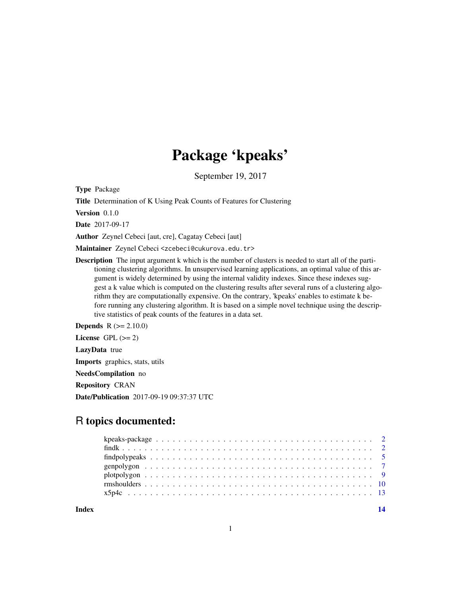## Package 'kpeaks'

September 19, 2017

Type Package

Title Determination of K Using Peak Counts of Features for Clustering

Version 0.1.0

Date 2017-09-17

Author Zeynel Cebeci [aut, cre], Cagatay Cebeci [aut]

Maintainer Zeynel Cebeci <zcebeci@cukurova.edu.tr>

Description The input argument k which is the number of clusters is needed to start all of the partitioning clustering algorithms. In unsupervised learning applications, an optimal value of this argument is widely determined by using the internal validity indexes. Since these indexes suggest a k value which is computed on the clustering results after several runs of a clustering algorithm they are computationally expensive. On the contrary, 'kpeaks' enables to estimate k before running any clustering algorithm. It is based on a simple novel technique using the descriptive statistics of peak counts of the features in a data set.

**Depends**  $R (= 2.10.0)$ 

License GPL  $(>= 2)$ 

LazyData true

Imports graphics, stats, utils

NeedsCompilation no

Repository CRAN

Date/Publication 2017-09-19 09:37:37 UTC

### R topics documented:

**Index** 2008 **[14](#page-13-0)**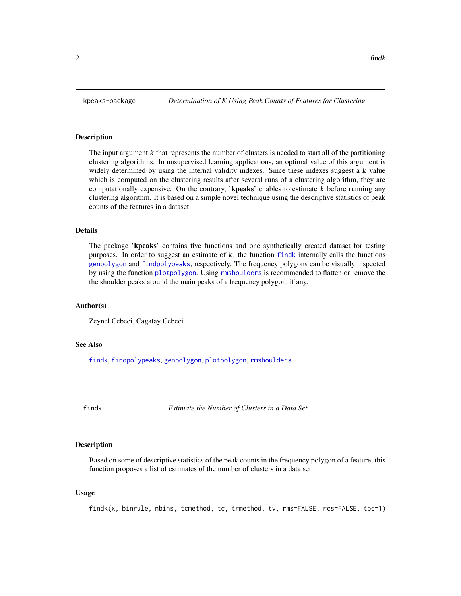#### Description

The input argument  $k$  that represents the number of clusters is needed to start all of the partitioning clustering algorithms. In unsupervised learning applications, an optimal value of this argument is widely determined by using the internal validity indexes. Since these indexes suggest a k value which is computed on the clustering results after several runs of a clustering algorithm, they are computationally expensive. On the contrary, 'kpeaks' enables to estimate  $k$  before running any clustering algorithm. It is based on a simple novel technique using the descriptive statistics of peak counts of the features in a dataset.

#### Details

The package 'kpeaks' contains five functions and one synthetically created dataset for testing purposes. In order to suggest an estimate of  $k$ , the function [findk](#page-1-1) internally calls the functions [genpolygon](#page-6-1) and [findpolypeaks](#page-4-1), respectively. The frequency polygons can be visually inspected by using the function [plotpolygon](#page-8-1). Using [rmshoulders](#page-9-1) is recommended to flatten or remove the the shoulder peaks around the main peaks of a frequency polygon, if any.

#### Author(s)

Zeynel Cebeci, Cagatay Cebeci

#### See Also

[findk](#page-1-1), [findpolypeaks](#page-4-1), [genpolygon](#page-6-1), [plotpolygon](#page-8-1), [rmshoulders](#page-9-1)

<span id="page-1-1"></span>

findk *Estimate the Number of Clusters in a Data Set*

#### Description

Based on some of descriptive statistics of the peak counts in the frequency polygon of a feature, this function proposes a list of estimates of the number of clusters in a data set.

#### Usage

findk(x, binrule, nbins, tcmethod, tc, trmethod, tv, rms=FALSE, rcs=FALSE, tpc=1)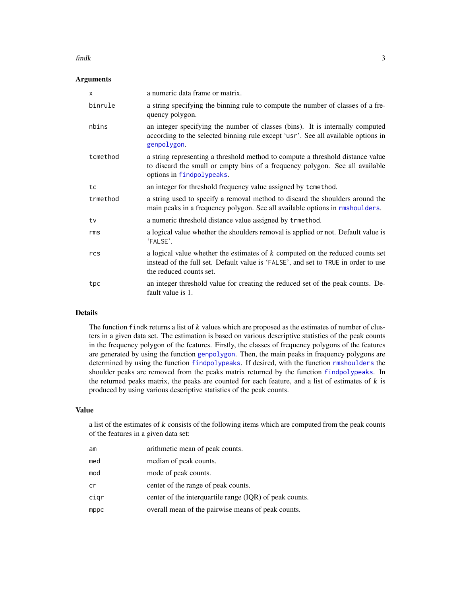#### <span id="page-2-0"></span> $f_{\text{in}}$  3

#### Arguments

| X        | a numeric data frame or matrix.                                                                                                                                                                  |
|----------|--------------------------------------------------------------------------------------------------------------------------------------------------------------------------------------------------|
| binrule  | a string specifying the binning rule to compute the number of classes of a fre-<br>quency polygon.                                                                                               |
| nbins    | an integer specifying the number of classes (bins). It is internally computed<br>according to the selected binning rule except 'usr'. See all available options in<br>genpolygon.                |
| tcmethod | a string representing a threshold method to compute a threshold distance value<br>to discard the small or empty bins of a frequency polygon. See all available<br>options in findpolypeaks.      |
| tc       | an integer for threshold frequency value assigned by tcmethod.                                                                                                                                   |
| trmethod | a string used to specify a removal method to discard the shoulders around the<br>main peaks in a frequency polygon. See all available options in rmshoulders.                                    |
| tv       | a numeric threshold distance value assigned by trmethod.                                                                                                                                         |
| rms      | a logical value whether the shoulders removal is applied or not. Default value is<br>'FALSE'.                                                                                                    |
| rcs      | a logical value whether the estimates of $k$ computed on the reduced counts set<br>instead of the full set. Default value is 'FALSE', and set to TRUE in order to use<br>the reduced counts set. |
| tpc      | an integer threshold value for creating the reduced set of the peak counts. De-<br>fault value is 1.                                                                                             |

#### Details

The function findk returns a list of k values which are proposed as the estimates of number of clusters in a given data set. The estimation is based on various descriptive statistics of the peak counts in the frequency polygon of the features. Firstly, the classes of frequency polygons of the features are generated by using the function [genpolygon](#page-6-1). Then, the main peaks in frequency polygons are determined by using the function [findpolypeaks](#page-4-1). If desired, with the function [rmshoulders](#page-9-1) the shoulder peaks are removed from the peaks matrix returned by the function [findpolypeaks](#page-4-1). In the returned peaks matrix, the peaks are counted for each feature, and a list of estimates of  $k$  is produced by using various descriptive statistics of the peak counts.

#### Value

a list of the estimates of k consists of the following items which are computed from the peak counts of the features in a given data set:

| am   | arithmetic mean of peak counts.                         |
|------|---------------------------------------------------------|
| med  | median of peak counts.                                  |
| mod  | mode of peak counts.                                    |
| cr   | center of the range of peak counts.                     |
| cigr | center of the interquartile range (IQR) of peak counts. |
| mppc | overall mean of the pairwise means of peak counts.      |
|      |                                                         |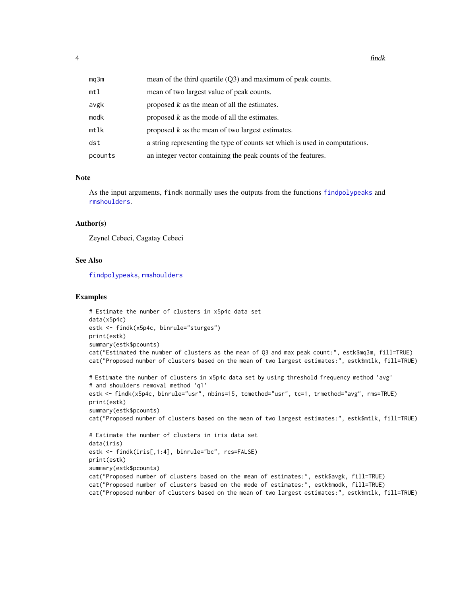<span id="page-3-0"></span>

| mq3m    | mean of the third quartile $(Q3)$ and maximum of peak counts.               |
|---------|-----------------------------------------------------------------------------|
| mtl     | mean of two largest value of peak counts.                                   |
| avgk    | proposed k as the mean of all the estimates.                                |
| modk    | proposed k as the mode of all the estimates.                                |
| mtlk    | proposed k as the mean of two largest estimates.                            |
| dst     | a string representing the type of counts set which is used in computations. |
| pcounts | an integer vector containing the peak counts of the features.               |

#### Note

As the input arguments, findk normally uses the outputs from the functions [findpolypeaks](#page-4-1) and [rmshoulders](#page-9-1).

#### Author(s)

Zeynel Cebeci, Cagatay Cebeci

#### See Also

[findpolypeaks](#page-4-1), [rmshoulders](#page-9-1)

#### Examples

```
# Estimate the number of clusters in x5p4c data set
data(x5p4c)
estk <- findk(x5p4c, binrule="sturges")
print(estk)
summary(estk$pcounts)
cat("Estimated the number of clusters as the mean of Q3 and max peak count:", estk$mq3m, fill=TRUE)
cat("Proposed number of clusters based on the mean of two largest estimates:", estk$mtlk, fill=TRUE)
```

```
# Estimate the number of clusters in x5p4c data set by using threshold frequency method 'avg'
# and shoulders removal method 'q1'
estk <- findk(x5p4c, binrule="usr", nbins=15, tcmethod="usr", tc=1, trmethod="avg", rms=TRUE)
print(estk)
summary(estk$pcounts)
cat("Proposed number of clusters based on the mean of two largest estimates:", estk$mtlk, fill=TRUE)
# Estimate the number of clusters in iris data set
data(iris)
estk <- findk(iris[,1:4], binrule="bc", rcs=FALSE)
print(estk)
summary(estk$pcounts)
cat("Proposed number of clusters based on the mean of estimates:", estk$avgk, fill=TRUE)
cat("Proposed number of clusters based on the mode of estimates:", estk$modk, fill=TRUE)
```
cat("Proposed number of clusters based on the mean of two largest estimates:", estk\$mtlk, fill=TRUE)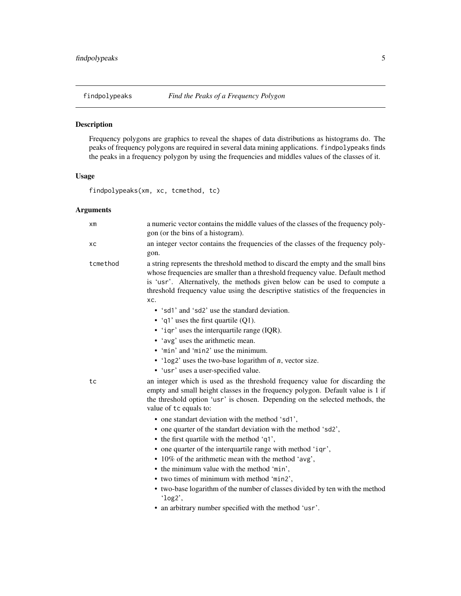<span id="page-4-1"></span><span id="page-4-0"></span>

#### Description

Frequency polygons are graphics to reveal the shapes of data distributions as histograms do. The peaks of frequency polygons are required in several data mining applications. findpolypeaks finds the peaks in a frequency polygon by using the frequencies and middles values of the classes of it.

#### Usage

findpolypeaks(xm, xc, tcmethod, tc)

#### Arguments

| хm       | a numeric vector contains the middle values of the classes of the frequency poly-<br>gon (or the bins of a histogram).                                                                                                                                                                                                                     |
|----------|--------------------------------------------------------------------------------------------------------------------------------------------------------------------------------------------------------------------------------------------------------------------------------------------------------------------------------------------|
| xс       | an integer vector contains the frequencies of the classes of the frequency poly-<br>gon.                                                                                                                                                                                                                                                   |
| tcmethod | a string represents the threshold method to discard the empty and the small bins<br>whose frequencies are smaller than a threshold frequency value. Default method<br>is 'usr'. Alternatively, the methods given below can be used to compute a<br>threshold frequency value using the descriptive statistics of the frequencies in<br>XC. |
|          | • 'sd1' and 'sd2' use the standard deviation.                                                                                                                                                                                                                                                                                              |
|          | • 'q1' uses the first quartile $(Q1)$ .                                                                                                                                                                                                                                                                                                    |
|          | • 'iqr' uses the interquartile range (IQR).                                                                                                                                                                                                                                                                                                |
|          | • 'avg' uses the arithmetic mean.                                                                                                                                                                                                                                                                                                          |
|          | • 'min' and 'min2' use the minimum.                                                                                                                                                                                                                                                                                                        |
|          | $\cdot$ 'log2' uses the two-base logarithm of <i>n</i> , vector size.                                                                                                                                                                                                                                                                      |
|          | • 'usr' uses a user-specified value.                                                                                                                                                                                                                                                                                                       |
| tc       | an integer which is used as the threshold frequency value for discarding the<br>empty and small height classes in the frequency polygon. Default value is 1 if<br>the threshold option 'usr' is chosen. Depending on the selected methods, the<br>value of tc equals to:                                                                   |
|          | • one standart deviation with the method 'sd1',                                                                                                                                                                                                                                                                                            |
|          | • one quarter of the standart deviation with the method 'sd2',                                                                                                                                                                                                                                                                             |
|          | $\bullet$ the first quartile with the method 'q1',                                                                                                                                                                                                                                                                                         |
|          | • one quarter of the interquartile range with method 'iqr',                                                                                                                                                                                                                                                                                |
|          | • 10% of the arithmetic mean with the method 'avg',                                                                                                                                                                                                                                                                                        |
|          | • the minimum value with the method 'min',                                                                                                                                                                                                                                                                                                 |
|          | • two times of minimum with method 'min2',                                                                                                                                                                                                                                                                                                 |
|          | • two-base logarithm of the number of classes divided by ten with the method<br>'log2',                                                                                                                                                                                                                                                    |
|          | • an arbitrary number specified with the method 'usr'.                                                                                                                                                                                                                                                                                     |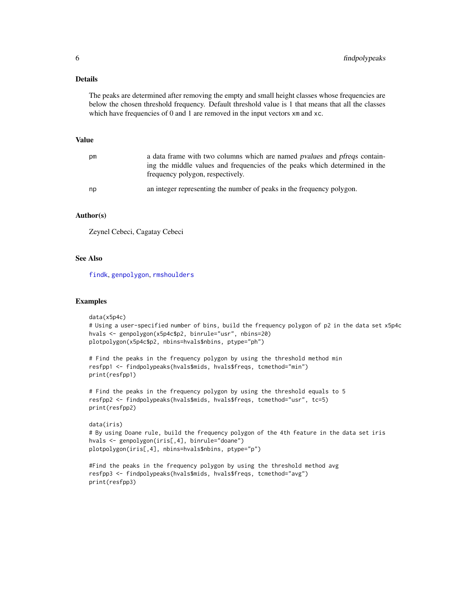#### <span id="page-5-0"></span>Details

The peaks are determined after removing the empty and small height classes whose frequencies are below the chosen threshold frequency. Default threshold value is 1 that means that all the classes which have frequencies of 0 and 1 are removed in the input vectors  $x$ m and  $x$ c.

#### Value

| рm | a data frame with two columns which are named pvalues and pregs contain-<br>ing the middle values and frequencies of the peaks which determined in the<br>frequency polygon, respectively. |
|----|--------------------------------------------------------------------------------------------------------------------------------------------------------------------------------------------|
| np | an integer representing the number of peaks in the frequency polygon.                                                                                                                      |

#### Author(s)

Zeynel Cebeci, Cagatay Cebeci

#### See Also

[findk](#page-1-1), [genpolygon](#page-6-1), [rmshoulders](#page-9-1)

#### Examples

```
data(x5p4c)
# Using a user-specified number of bins, build the frequency polygon of p2 in the data set x5p4c
hvals <- genpolygon(x5p4c$p2, binrule="usr", nbins=20)
plotpolygon(x5p4c$p2, nbins=hvals$nbins, ptype="ph")
# Find the peaks in the frequency polygon by using the threshold method min
resfpp1 <- findpolypeaks(hvals$mids, hvals$freqs, tcmethod="min")
print(resfpp1)
# Find the peaks in the frequency polygon by using the threshold equals to 5
```

```
resfpp2 <- findpolypeaks(hvals$mids, hvals$freqs, tcmethod="usr", tc=5)
print(resfpp2)
```

```
data(iris)
# By using Doane rule, build the frequency polygon of the 4th feature in the data set iris
hvals <- genpolygon(iris[,4], binrule="doane")
plotpolygon(iris[,4], nbins=hvals$nbins, ptype="p")
```

```
#Find the peaks in the frequency polygon by using the threshold method avg
resfpp3 <- findpolypeaks(hvals$mids, hvals$freqs, tcmethod="avg")
print(resfpp3)
```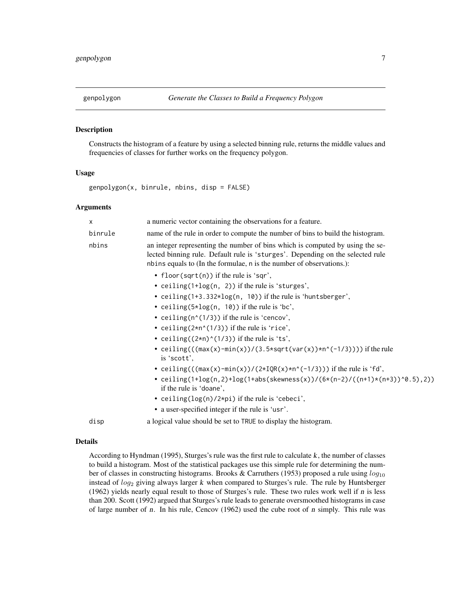#### <span id="page-6-1"></span><span id="page-6-0"></span>Description

Constructs the histogram of a feature by using a selected binning rule, returns the middle values and frequencies of classes for further works on the frequency polygon.

#### Usage

genpolygon(x, binrule, nbins, disp = FALSE)

#### Arguments

| X       | a numeric vector containing the observations for a feature.                                                                                                                                                                             |
|---------|-----------------------------------------------------------------------------------------------------------------------------------------------------------------------------------------------------------------------------------------|
| binrule | name of the rule in order to compute the number of bins to build the histogram.                                                                                                                                                         |
| nbins   | an integer representing the number of bins which is computed by using the se-<br>lected binning rule. Default rule is 'sturges'. Depending on the selected rule<br>nbins equals to (In the formulae, n is the number of observations.): |
|         | • floor(sqrt(n)) if the rule is 'sqr',<br>• ceiling $(1+log(n, 2))$ if the rule is 'sturges',                                                                                                                                           |
|         | • ceiling(1+3.332*log(n, 10)) if the rule is 'huntsberger',                                                                                                                                                                             |
|         | • ceiling( $5 \times log(n, 10)$ ) if the rule is 'bc',                                                                                                                                                                                 |
|         | • ceiling( $n'(1/3)$ ) if the rule is 'cencov',                                                                                                                                                                                         |
|         | • ceiling $(2*n^(1/3))$ if the rule is 'rice',                                                                                                                                                                                          |
|         | • ceiling( $(2*n)^(1/3)$ ) if the rule is 'ts',                                                                                                                                                                                         |
|         | • ceiling( $((max(x)-min(x))/(3.5*sqrt(var(x))*n^(-1/3))))$ if the rule<br>is 'scott'.                                                                                                                                                  |
|         | • ceiling(( $(\max(x)$ -min $(x)/(2 \times IQR(x) \times n^(-1/3)))$ ) if the rule is 'fd',                                                                                                                                             |
|         | • ceiling(1+log(n,2)+log(1+abs(skewness(x))/(6*(n-2)/((n+1)*(n+3))^0.5),2))<br>if the rule is 'doane',                                                                                                                                  |
|         | • ceiling( $log(n)/2$ *pi) if the rule is 'cebeci',                                                                                                                                                                                     |
|         | • a user-specified integer if the rule is 'usr'.                                                                                                                                                                                        |
| disp    | a logical value should be set to TRUE to display the histogram.                                                                                                                                                                         |

#### Details

According to Hyndman (1995), Sturges's rule was the first rule to calculate k, the number of classes to build a histogram. Most of the statistical packages use this simple rule for determining the number of classes in constructing histograms. Brooks & Carruthers (1953) proposed a rule using  $log_{10}$ instead of  $log_2$  giving always larger k when compared to Sturges's rule. The rule by Huntsberger (1962) yields nearly equal result to those of Sturges's rule. These two rules work well if n is less than 200. Scott (1992) argued that Sturges's rule leads to generate oversmoothed histograms in case of large number of n. In his rule, Cencov  $(1962)$  used the cube root of n simply. This rule was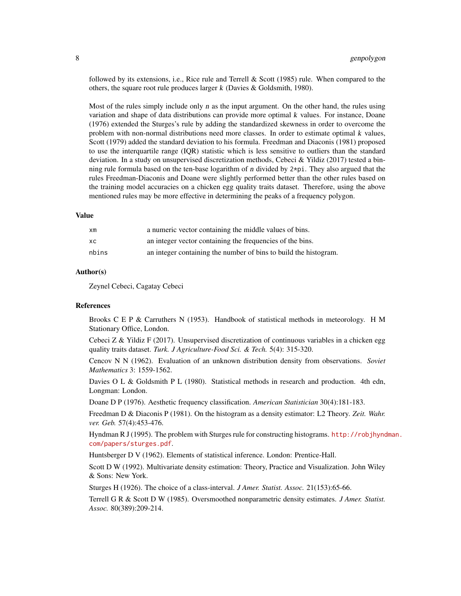followed by its extensions, i.e., Rice rule and Terrell  $\&$  Scott (1985) rule. When compared to the others, the square root rule produces larger  $k$  (Davies  $\&$  Goldsmith, 1980).

Most of the rules simply include only  $n$  as the input argument. On the other hand, the rules using variation and shape of data distributions can provide more optimal k values. For instance, Doane (1976) extended the Sturges's rule by adding the standardized skewness in order to overcome the problem with non-normal distributions need more classes. In order to estimate optimal  $k$  values, Scott (1979) added the standard deviation to his formula. Freedman and Diaconis (1981) proposed to use the interquartile range (IQR) statistic which is less sensitive to outliers than the standard deviation. In a study on unsupervised discretization methods, Cebeci & Yildiz (2017) tested a binning rule formula based on the ten-base logarithm of  $n$  divided by  $2*pi$ . They also argued that the rules Freedman-Diaconis and Doane were slightly performed better than the other rules based on the training model accuracies on a chicken egg quality traits dataset. Therefore, using the above mentioned rules may be more effective in determining the peaks of a frequency polygon.

#### Value

| хm    | a numeric vector containing the middle values of bins.           |
|-------|------------------------------------------------------------------|
| xс    | an integer vector containing the frequencies of the bins.        |
| nbins | an integer containing the number of bins to build the histogram. |

#### Author(s)

Zeynel Cebeci, Cagatay Cebeci

#### References

Brooks C E P & Carruthers N (1953). Handbook of statistical methods in meteorology. H M Stationary Office, London.

Cebeci Z & Yildiz F (2017). Unsupervised discretization of continuous variables in a chicken egg quality traits dataset. *Turk. J Agriculture-Food Sci. & Tech.* 5(4): 315-320.

Cencov N N (1962). Evaluation of an unknown distribution density from observations. *Soviet Mathematics* 3: 1559-1562.

Davies O L & Goldsmith P L (1980). Statistical methods in research and production. 4th edn, Longman: London.

Doane D P (1976). Aesthetic frequency classification. *American Statistician* 30(4):181-183.

Freedman D & Diaconis P (1981). On the histogram as a density estimator: L2 Theory. *Zeit. Wahr. ver. Geb.* 57(4):453-476.

Hyndman R J (1995). The problem with Sturges rule for constructing histograms. [http://robjhynd](http://robjhyndman.com/papers/sturges.pdf)man. [com/papers/sturges.pdf](http://robjhyndman.com/papers/sturges.pdf).

Huntsberger D V (1962). Elements of statistical inference. London: Prentice-Hall.

Scott D W (1992). Multivariate density estimation: Theory, Practice and Visualization. John Wiley & Sons: New York.

Sturges H (1926). The choice of a class-interval. *J Amer. Statist. Assoc.* 21(153):65-66.

Terrell G R & Scott D W (1985). Oversmoothed nonparametric density estimates. *J Amer. Statist. Assoc.* 80(389):209-214.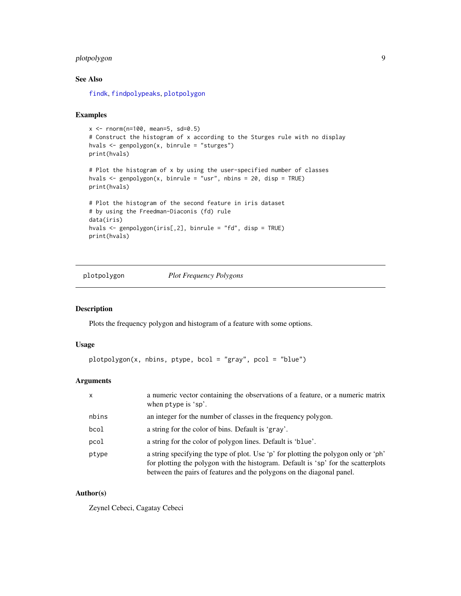#### <span id="page-8-0"></span>plotpolygon 9

#### See Also

[findk](#page-1-1), [findpolypeaks](#page-4-1), [plotpolygon](#page-8-1)

#### Examples

```
x \le - rnorm(n=100, mean=5, sd=0.5)
# Construct the histogram of x according to the Sturges rule with no display
hvals <- genpolygon(x, binrule = "sturges")
print(hvals)
# Plot the histogram of x by using the user-specified number of classes
hvals \leq genpolygon(x, binrule = "usr", nbins = 20, disp = TRUE)
print(hvals)
# Plot the histogram of the second feature in iris dataset
# by using the Freedman-Diaconis (fd) rule
data(iris)
hvals <- genpolygon(iris[,2], binrule = "fd", disp = TRUE)
print(hvals)
```
<span id="page-8-1"></span>plotpolygon *Plot Frequency Polygons*

#### Description

Plots the frequency polygon and histogram of a feature with some options.

#### Usage

```
plotpolygon(x, nbins, ptype, bcol = "gray", pcol = "blue")
```
#### Arguments

| X     | a numeric vector containing the observations of a feature, or a numeric matrix<br>when ptype is 'sp'.                                                                                                                                             |
|-------|---------------------------------------------------------------------------------------------------------------------------------------------------------------------------------------------------------------------------------------------------|
| nbins | an integer for the number of classes in the frequency polygon.                                                                                                                                                                                    |
| bcol  | a string for the color of bins. Default is 'gray'.                                                                                                                                                                                                |
| pcol  | a string for the color of polygon lines. Default is 'blue'.                                                                                                                                                                                       |
| ptype | a string specifying the type of plot. Use 'p' for plotting the polygon only or 'ph'<br>for plotting the polygon with the histogram. Default is 'sp' for the scatterplots<br>between the pairs of features and the polygons on the diagonal panel. |

#### Author(s)

Zeynel Cebeci, Cagatay Cebeci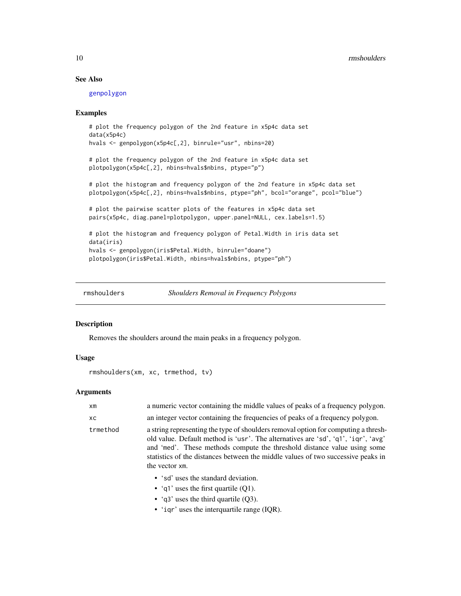#### See Also

[genpolygon](#page-6-1)

#### Examples

```
# plot the frequency polygon of the 2nd feature in x5p4c data set
data(x5p4c)
hvals <- genpolygon(x5p4c[,2], binrule="usr", nbins=20)
# plot the frequency polygon of the 2nd feature in x5p4c data set
plotpolygon(x5p4c[,2], nbins=hvals$nbins, ptype="p")
# plot the histogram and frequency polygon of the 2nd feature in x5p4c data set
plotpolygon(x5p4c[,2], nbins=hvals$nbins, ptype="ph", bcol="orange", pcol="blue")
# plot the pairwise scatter plots of the features in x5p4c data set
pairs(x5p4c, diag.panel=plotpolygon, upper.panel=NULL, cex.labels=1.5)
# plot the histogram and frequency polygon of Petal.Width in iris data set
data(iris)
hvals <- genpolygon(iris$Petal.Width, binrule="doane")
plotpolygon(iris$Petal.Width, nbins=hvals$nbins, ptype="ph")
```
<span id="page-9-1"></span>

rmshoulders *Shoulders Removal in Frequency Polygons*

#### Description

Removes the shoulders around the main peaks in a frequency polygon.

#### Usage

```
rmshoulders(xm, xc, trmethod, tv)
```
#### Arguments

| xm       | a numeric vector containing the middle values of peaks of a frequency polygon.                                                                                                                                                                                                                                                                            |
|----------|-----------------------------------------------------------------------------------------------------------------------------------------------------------------------------------------------------------------------------------------------------------------------------------------------------------------------------------------------------------|
| XC.      | an integer vector containing the frequencies of peaks of a frequency polygon.                                                                                                                                                                                                                                                                             |
| trmethod | a string representing the type of shoulders removal option for computing a thresh-<br>old value. Default method is 'usr'. The alternatives are 'sd', 'q1', 'iqr', 'avg'<br>and 'med'. These methods compute the threshold distance value using some<br>statistics of the distances between the middle values of two successive peaks in<br>the vector xm. |
|          | • 'sd' uses the standard deviation.<br>• 'q1' uses the first quartile $(O1)$ .                                                                                                                                                                                                                                                                            |

- 'q3' uses the third quartile (Q3).
- 'iqr' uses the interquartile range (IQR).

<span id="page-9-0"></span>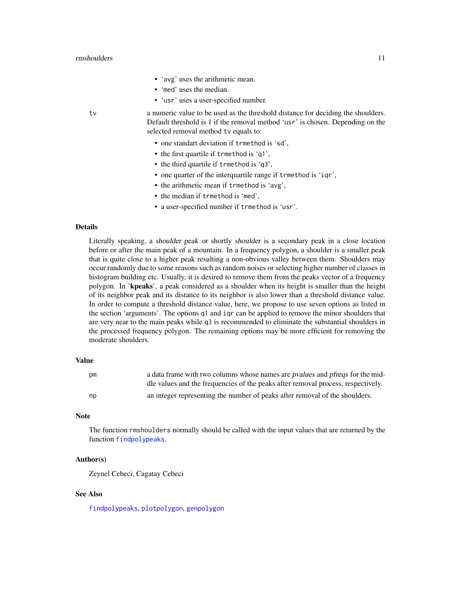- 'avg' uses the arithmetic mean.
- 'med' uses the median.
- 'usr' uses a user-specified number.

<span id="page-10-0"></span>tv a numeric value to be used as the threshold distance for deciding the shoulders. Default threshold is 1 if the removal method 'usr' is chosen. Depending on the selected removal method tv equals to:

- one standart deviation if trmethod is 'sd',
- the first quartile if trmethod is 'q1',
- the third quartile if trmethod is 'q3',
- one quarter of the interquartile range if trmethod is 'iqr',
- the arithmetic mean if trmethod is 'avg',
- the median if trmethod is 'med',
- a user-specified number if trmethod is 'usr'.

#### Details

Literally speaking, a shoulder peak or shortly shoulder is a secondary peak in a close location before or after the main peak of a mountain. In a frequency polygon, a shoulder is a smaller peak that is quite close to a higher peak resulting a non-obvious valley between them. Shoulders may occur randomly due to some reasons such as random noises or selecting higher number of classes in histogram building etc. Usually, it is desired to remove them from the peaks vector of a frequency polygon. In 'kpeaks', a peak considered as a shoulder when its height is smaller than the height of its neighbor peak and its distance to its neighbor is also lower than a threshold distance value. In order to compute a threshold distance value, here, we propose to use seven options as listed in the section 'arguments'. The options q1 and iqr can be applied to remove the minor shoulders that are very near to the main peaks while q3 is recommended to eliminate the substantial shoulders in the processed frequency polygon. The remaining options may be more efficient for removing the moderate shoulders.

#### Value

| рm | a data frame with two columns whose names are <i>pvalues</i> and <i>pfreqs</i> for the mid- |
|----|---------------------------------------------------------------------------------------------|
|    | dle values and the frequencies of the peaks after removal process, respectively.            |
| np | an integer representing the number of peaks after removal of the shoulders.                 |

#### **Note**

The function rmshoulders normally should be called with the input values that are returned by the function [findpolypeaks](#page-4-1).

#### Author(s)

Zeynel Cebeci, Cagatay Cebeci

#### See Also

[findpolypeaks](#page-4-1), [plotpolygon](#page-8-1), [genpolygon](#page-6-1)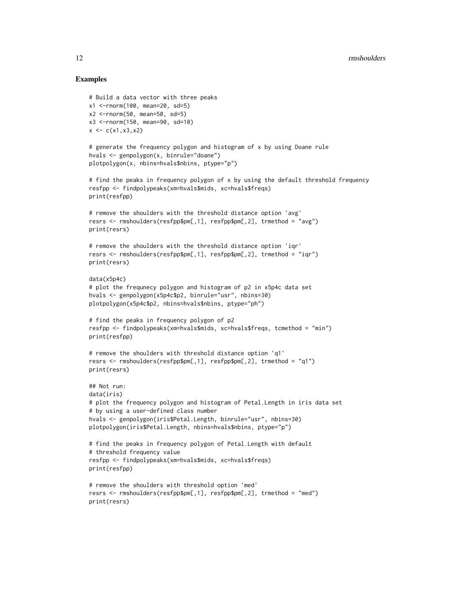#### Examples

```
# Build a data vector with three peaks
x1 <-rnorm(100, mean=20, sd=5)
x2 <-rnorm(50, mean=50, sd=5)
x3 <-rnorm(150, mean=90, sd=10)
x \leftarrow c(x1, x3, x2)# generate the frequency polygon and histogram of x by using Doane rule
hvals <- genpolygon(x, binrule="doane")
plotpolygon(x, nbins=hvals$nbins, ptype="p")
# find the peaks in frequency polygon of x by using the default threshold frequency
resfpp <- findpolypeaks(xm=hvals$mids, xc=hvals$freqs)
print(resfpp)
# remove the shoulders with the threshold distance option 'avg'
resrs <- rmshoulders(resfpp$pm[,1], resfpp$pm[,2], trmethod = "avg")
print(resrs)
# remove the shoulders with the threshold distance option 'iqr'
resrs <- rmshoulders(resfpp$pm[,1], resfpp$pm[,2], trmethod = "iqr")
print(resrs)
data(x5p4c)
# plot the frequnecy polygon and histogram of p2 in x5p4c data set
hvals <- genpolygon(x5p4c$p2, binrule="usr", nbins=30)
plotpolygon(x5p4c$p2, nbins=hvals$nbins, ptype="ph")
# find the peaks in frequency polygon of p2
resfpp <- findpolypeaks(xm=hvals$mids, xc=hvals$freqs, tcmethod = "min")
print(resfpp)
# remove the shoulders with threshold distance option 'q1'
resrs <- rmshoulders(resfpp$pm[,1], resfpp$pm[,2], trmethod = "q1")
print(resrs)
## Not run:
data(iris)
# plot the frequency polygon and histogram of Petal.Length in iris data set
# by using a user-defined class number
hvals <- genpolygon(iris$Petal.Length, binrule="usr", nbins=30)
plotpolygon(iris$Petal.Length, nbins=hvals$nbins, ptype="p")
# find the peaks in frequency polygon of Petal.Length with default
# threshold frequency value
resfpp <- findpolypeaks(xm=hvals$mids, xc=hvals$freqs)
print(resfpp)
# remove the shoulders with threshold option 'med'
resrs <- rmshoulders(resfpp$pm[,1], resfpp$pm[,2], trmethod = "med")
print(resrs)
```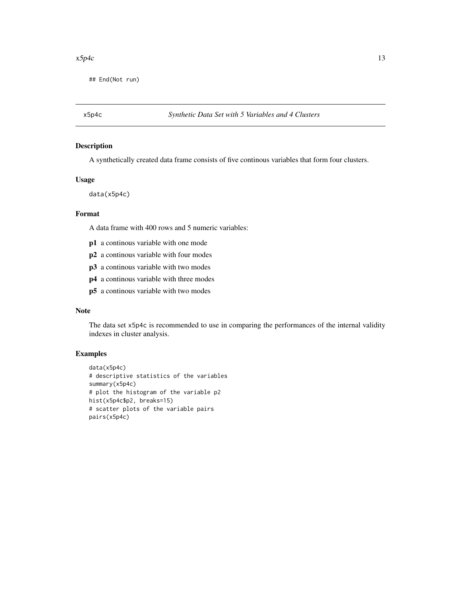#### <span id="page-12-0"></span> $x5p4c$  13

## End(Not run)

#### Description

A synthetically created data frame consists of five continous variables that form four clusters.

#### Usage

data(x5p4c)

#### Format

A data frame with 400 rows and 5 numeric variables:

- p1 a continous variable with one mode
- p2 a continous variable with four modes
- p3 a continous variable with two modes
- p4 a continous variable with three modes
- p5 a continous variable with two modes

#### Note

The data set x5p4c is recommended to use in comparing the performances of the internal validity indexes in cluster analysis.

#### Examples

```
data(x5p4c)
# descriptive statistics of the variables
summary(x5p4c)
# plot the histogram of the variable p2
hist(x5p4c$p2, breaks=15)
# scatter plots of the variable pairs
pairs(x5p4c)
```